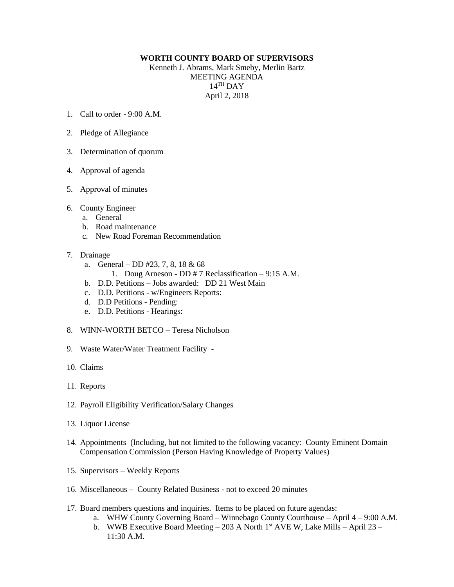## **WORTH COUNTY BOARD OF SUPERVISORS**

Kenneth J. Abrams, Mark Smeby, Merlin Bartz MEETING AGENDA 14 TH DAY April 2, 2018

- 1. Call to order  $9.00 \text{ A M}$
- 2. Pledge of Allegiance
- 3. Determination of quorum
- 4. Approval of agenda
- 5. Approval of minutes
- 6. County Engineer
	- a. General
	- b. Road maintenance
	- c. New Road Foreman Recommendation
- 7. Drainage
	- a. General DD #23, 7, 8, 18 & 68
		- 1. Doug Arneson DD # 7 Reclassification 9:15 A.M.
	- b. D.D. Petitions Jobs awarded: DD 21 West Main
	- c. D.D. Petitions w/Engineers Reports:
	- d. D.D Petitions Pending:
	- e. D.D. Petitions Hearings:
- 8. WINN-WORTH BETCO Teresa Nicholson
- 9. Waste Water/Water Treatment Facility -
- 10. Claims
- 11. Reports
- 12. Payroll Eligibility Verification/Salary Changes
- 13. Liquor License
- 14. Appointments (Including, but not limited to the following vacancy: County Eminent Domain Compensation Commission (Person Having Knowledge of Property Values)
- 15. Supervisors Weekly Reports
- 16. Miscellaneous County Related Business not to exceed 20 minutes
- 17. Board members questions and inquiries. Items to be placed on future agendas:
	- a. WHW County Governing Board Winnebago County Courthouse April 4 9:00 A.M.
	- b. WWB Executive Board Meeting 203 A North  $1<sup>st</sup>$  AVE W, Lake Mills April 23 11:30 A.M.